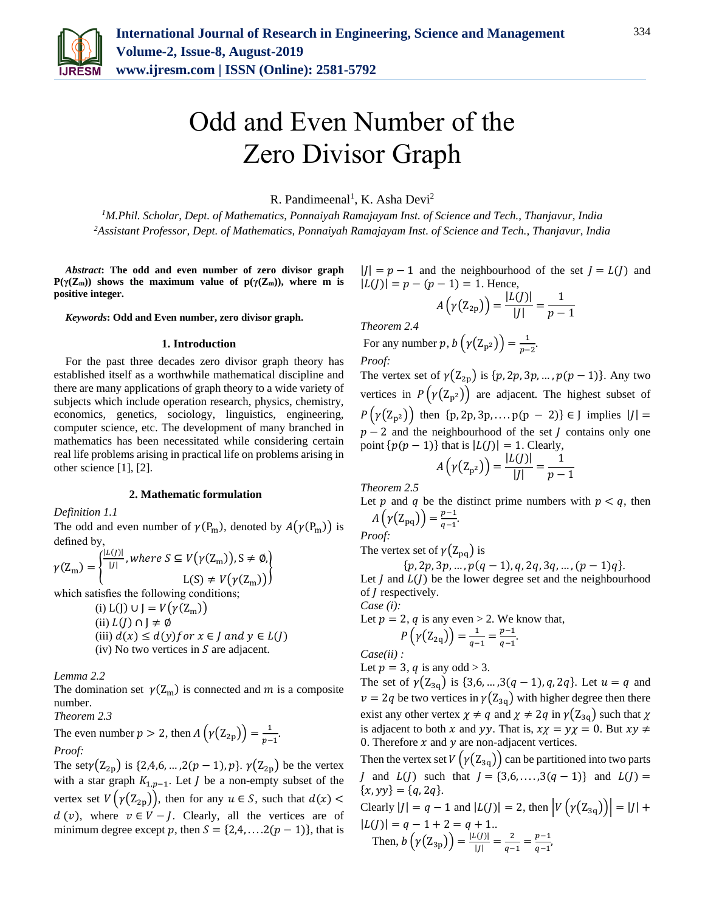

# Odd and Even Number of the Zero Divisor Graph

R. Pandimeenal<sup>1</sup>, K. Asha Devi<sup>2</sup>

*<sup>1</sup>M.Phil. Scholar, Dept. of Mathematics, Ponnaiyah Ramajayam Inst. of Science and Tech., Thanjavur, India 2Assistant Professor, Dept. of Mathematics, Ponnaiyah Ramajayam Inst. of Science and Tech., Thanjavur, India*

*Abstract***: The odd and even number of zero divisor graph P**( $\gamma$ ( $\mathbb{Z}_m$ )) shows the maximum value of  $p(\gamma(\mathbb{Z}_m))$ , where m is **positive integer.**

*Keywords***: Odd and Even number, zero divisor graph.**

## **1. Introduction**

For the past three decades zero divisor graph theory has established itself as a worthwhile mathematical discipline and there are many applications of graph theory to a wide variety of subjects which include operation research, physics, chemistry, economics, genetics, sociology, linguistics, engineering, computer science, etc. The development of many branched in mathematics has been necessitated while considering certain real life problems arising in practical life on problems arising in other science [1], [2].

#### **2. Mathematic formulation**

*Definition 1.1*

The odd and even number of  $\gamma(P_m)$ , denoted by  $A(\gamma(P_m))$  is defined by,

$$
\gamma(Z_m) = \begin{cases} \frac{|L(j)|}{|J|}, \text{where } S \subseteq V(\gamma(Z_m)), S \neq \emptyset, \\ L(S) \neq V(\gamma(Z_m)) \end{cases}
$$

which satisfies the following conditions;

(i) L(J) ∪ J =  $V(\gamma(\mathbb{Z}_m))$ (ii)  $L(I) \cap I \neq \emptyset$ (iii)  $d(x) \leq d(y)$  for  $x \in J$  and  $y \in L(J)$  $(iv)$  No two vertices in S are adjacent.

## *Lemma 2.2*

The domination set  $\gamma(Z_m)$  is connected and m is a composite number.

*Theorem 2.3* 

The even number 
$$
p > 2
$$
, then  $A(\gamma(Z_{2p})) = \frac{1}{p-1}$ .  
*Proof:*

The set $\gamma(Z_{2p})$  is {2,4,6, …, 2( $p-1$ ),  $p$ }.  $\gamma(Z_{2p})$  be the vertex with a star graph  $K_{1,p-1}$ . Let *J* be a non-empty subset of the vertex set  $V(\gamma(\mathbf{Z}_{2p}))$ , then for any  $u \in S$ , such that  $d(x)$  <  $d(v)$ , where  $v \in V - J$ . Clearly, all the vertices are of minimum degree except p, then  $S = \{2,4,....2(p-1)\}\text{, that is }$ 

 $|J| = p - 1$  and the neighbourhood of the set  $J = L(J)$  and  $|L(f)| = p - (p - 1) = 1$ . Hence,  $|L(J)|$ 1

$$
A(\gamma(Z_{2p})) = \frac{P(y)}{|y|} = \frac{1}{p-1}
$$

*Theorem 2.4* 

For any number p,  $b(\gamma(\mathbb{Z}_{p^2})) = \frac{1}{n-1}$  $\frac{1}{p-2}$ . *Proof:* 

The vertex set of  $\gamma(\mathbb{Z}_{2p})$  is  $\{p, 2p, 3p, ..., p(p-1)\}$ . Any two vertices in  $P(\gamma(\mathbb{Z}_{p^2}))$  are adjacent. The highest subset of  $P(\gamma(\mathbb{Z}_{p^2}))$  then  $\{p, 2p, 3p, ..., p(p - 2)\} \in J$  implies  $|J| =$  $p-2$  and the neighbourhood of the set  *contains only one* point  $\{p(p-1)\}\$  that is  $|L(f)| = 1$ . Clearly,

$$
A\left(\gamma\left(\mathrm{Z}_{\mathrm{p}^2}\right)\right) = \frac{|L(j)|}{|j|} = \frac{1}{p-1}
$$

*Theorem 2.5* 

Let p and q be the distinct prime numbers with  $p < q$ , then  $A(\gamma(\text{Z}_{pq})) = \frac{p-1}{q-1}.$ 

$$
\frac{q\left(\gamma\left(\frac{L_{pq}}{\gamma}\right)\right)}{q-1}.
$$

*Proof:* 

The vertex set of  $\gamma(\text{Z}_{pq})$  is

$$
{p, 2p, 3p, ..., p(q-1), q, 2q, 3q, ..., (p-1)q}.
$$

Let  *and*  $*L*(*I*)$  *be the lower degree set and the neighbourhood* of *J* respectively.

Case (i): 
$$
\overline{ }
$$

Let  $p = 2$ ,  $q$  is any even > 2. We know that,  $P(\gamma(Z_{2q})) = \frac{1}{q-1}$  $\frac{1}{q-1} = \frac{p-1}{q-1}$  $\frac{p-1}{q-1}$ .

*Case(ii) :* 

Let  $p = 3$ , q is any odd  $> 3$ .

The set of  $\gamma(\mathbb{Z}_{3q})$  is  $\{3,6, ..., 3(q - 1), q, 2q\}$ . Let  $u = q$  and  $v = 2q$  be two vertices in  $\gamma(Z_{3q})$  with higher degree then there exist any other vertex  $\chi \neq q$  and  $\chi \neq 2q$  in  $\gamma(Z_{3q})$  such that  $\chi$ is adjacent to both x and yy. That is,  $x\chi = y\chi = 0$ . But  $xy \neq$ 0. Therefore  $x$  and  $y$  are non-adjacent vertices.

Then the vertex set  $V(\gamma(\text{Z}_{3q}))$  can be partitioned into two parts J and  $L(J)$  such that  $J = \{3,6,...,3(q-1)\}\$  and  $L(J) =$  ${x, yy} = {q, 2q}.$  $\mathbf{L}$  $\overline{\Delta}$ 

Clearly 
$$
|J| = q - 1
$$
 and  $|L(J)| = 2$ , then  $|V(\gamma(\mathbb{Z}_{3q}))| = |J| + |L(J)| = q - 1 + 2 = q + 1$ .  
Then,  $b(\gamma(\mathbb{Z}_{3p})) = \frac{|L(J)|}{|J|} = \frac{2}{q-1} = \frac{p-1}{q-1}$ .